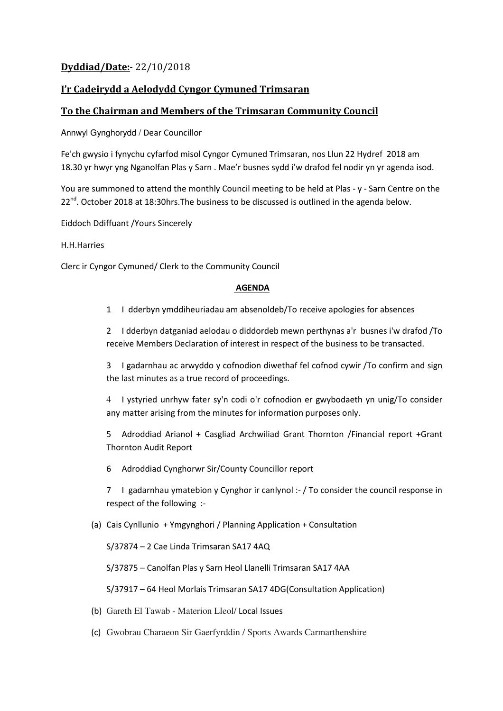# **Dyddiad/Date:**- 22/10/2018

## **I'r Cadeirydd a Aelodydd Cyngor Cymuned Trimsaran**

### **To the Chairman and Members of the Trimsaran Community Council**

Annwyl Gynghorydd / Dear Councillor

Fe'ch gwysio i fynychu cyfarfod misol Cyngor Cymuned Trimsaran, nos Llun 22 Hydref 2018 am 18.30 yr hwyr yng Nganolfan Plas y Sarn . Mae'r busnes sydd i'w drafod fel nodir yn yr agenda isod.

You are summoned to attend the monthly Council meeting to be held at Plas - y - Sarn Centre on the 22<sup>nd</sup>. October 2018 at 18:30hrs. The business to be discussed is outlined in the agenda below.

Eiddoch Ddiffuant /Yours Sincerely

#### H.H.Harries

Clerc ir Cyngor Cymuned/ Clerk to the Community Council

#### **AGENDA**

1 I dderbyn ymddiheuriadau am absenoldeb/To receive apologies for absences

2 I dderbyn datganiad aelodau o diddordeb mewn perthynas a'r busnes i'w drafod /To receive Members Declaration of interest in respect of the business to be transacted.

3 I gadarnhau ac arwyddo y cofnodion diwethaf fel cofnod cywir /To confirm and sign the last minutes as a true record of proceedings.

4 I ystyried unrhyw fater sy'n codi o'r cofnodion er gwybodaeth yn unig/To consider any matter arising from the minutes for information purposes only.

5 Adroddiad Arianol + Casgliad Archwiliad Grant Thornton /Financial report +Grant Thornton Audit Report

6 Adroddiad Cynghorwr Sir/County Councillor report

7 I gadarnhau ymatebion y Cynghor ir canlynol :- / To consider the council response in respect of the following :-

#### (a) Cais Cynllunio + Ymgynghori / Planning Application + Consultation

S/37874 – 2 Cae Linda Trimsaran SA17 4AQ

S/37875 – Canolfan Plas y Sarn Heol Llanelli Trimsaran SA17 4AA

S/37917 – 64 Heol Morlais Trimsaran SA17 4DG(Consultation Application)

- (b) Gareth El Tawab Materion Lleol/ Local Issues
- (c) Gwobrau Charaeon Sir Gaerfyrddin / Sports Awards Carmarthenshire